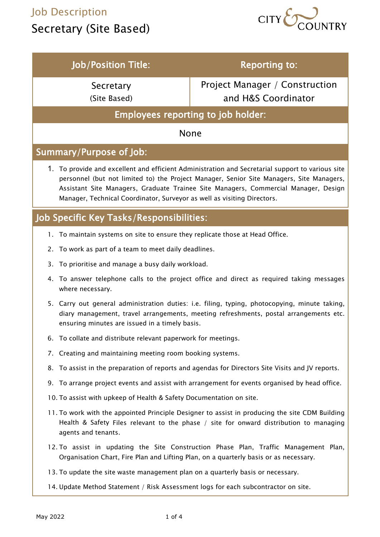### Job Description

# Secretary (Site Based)



| <b>Job/Position Title:</b>                                                                                                                                                                                                                                                                                                                                     | <b>Reporting to:</b>                                                                             |
|----------------------------------------------------------------------------------------------------------------------------------------------------------------------------------------------------------------------------------------------------------------------------------------------------------------------------------------------------------------|--------------------------------------------------------------------------------------------------|
| Secretary                                                                                                                                                                                                                                                                                                                                                      | <b>Project Manager / Construction</b>                                                            |
| (Site Based)                                                                                                                                                                                                                                                                                                                                                   | and H&S Coordinator                                                                              |
| <b>Employees reporting to job holder:</b>                                                                                                                                                                                                                                                                                                                      |                                                                                                  |
| <b>None</b>                                                                                                                                                                                                                                                                                                                                                    |                                                                                                  |
| Summary/Purpose of Job:                                                                                                                                                                                                                                                                                                                                        |                                                                                                  |
| 1. To provide and excellent and efficient Administration and Secretarial support to various site<br>personnel (but not limited to) the Project Manager, Senior Site Managers, Site Managers,<br>Assistant Site Managers, Graduate Trainee Site Managers, Commercial Manager, Design<br>Manager, Technical Coordinator, Surveyor as well as visiting Directors. |                                                                                                  |
| Job Specific Key Tasks/Responsibilities:                                                                                                                                                                                                                                                                                                                       |                                                                                                  |
| 1. To maintain systems on site to ensure they replicate those at Head Office.                                                                                                                                                                                                                                                                                  |                                                                                                  |
| To work as part of a team to meet daily deadlines.<br>2.                                                                                                                                                                                                                                                                                                       |                                                                                                  |
| To prioritise and manage a busy daily workload.<br>3.                                                                                                                                                                                                                                                                                                          |                                                                                                  |
| To answer telephone calls to the project office and direct as required taking messages<br>4.<br>where necessary.                                                                                                                                                                                                                                               |                                                                                                  |
| 5. Carry out general administration duties: i.e. filing, typing, photocopying, minute taking,<br>diary management, travel arrangements, meeting refreshments, postal arrangements etc.<br>ensuring minutes are issued in a timely basis.                                                                                                                       |                                                                                                  |
| 6. To collate and distribute relevant paperwork for meetings.                                                                                                                                                                                                                                                                                                  |                                                                                                  |
| 7. Creating and maintaining meeting room booking systems.                                                                                                                                                                                                                                                                                                      |                                                                                                  |
|                                                                                                                                                                                                                                                                                                                                                                | 8. To assist in the preparation of reports and agendas for Directors Site Visits and JV reports. |
|                                                                                                                                                                                                                                                                                                                                                                | 9. To arrange project events and assist with arrangement for events organised by head office.    |
| 10. To assist with upkeep of Health & Safety Documentation on site.                                                                                                                                                                                                                                                                                            |                                                                                                  |
| 11. To work with the appointed Principle Designer to assist in producing the site CDM Building<br>Health & Safety Files relevant to the phase / site for onward distribution to managing<br>agents and tenants.                                                                                                                                                |                                                                                                  |
| 12. To assist in updating the Site Construction Phase Plan, Traffic Management Plan,<br>Organisation Chart, Fire Plan and Lifting Plan, on a quarterly basis or as necessary.                                                                                                                                                                                  |                                                                                                  |
| 13. To update the site waste management plan on a quarterly basis or necessary.                                                                                                                                                                                                                                                                                |                                                                                                  |
| 14. Update Method Statement / Risk Assessment logs for each subcontractor on site.                                                                                                                                                                                                                                                                             |                                                                                                  |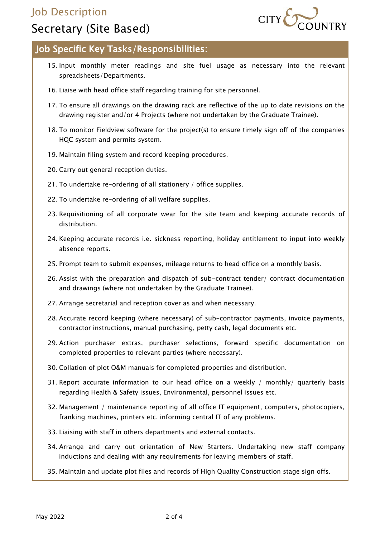### Job Description



### Secretary (Site Based)

#### Job Specific Key Tasks/Responsibilities:

- 15. Input monthly meter readings and site fuel usage as necessary into the relevant spreadsheets/Departments.
- 16. Liaise with head office staff regarding training for site personnel.
- 17. To ensure all drawings on the drawing rack are reflective of the up to date revisions on the drawing register and/or 4 Projects (where not undertaken by the Graduate Trainee).
- 18. To monitor Fieldview software for the project(s) to ensure timely sign off of the companies HQC system and permits system.
- 19. Maintain filing system and record keeping procedures.
- 20. Carry out general reception duties.
- 21. To undertake re-ordering of all stationery / office supplies.
- 22. To undertake re-ordering of all welfare supplies.
- 23. Requisitioning of all corporate wear for the site team and keeping accurate records of distribution.
- 24. Keeping accurate records i.e. sickness reporting, holiday entitlement to input into weekly absence reports.
- 25. Prompt team to submit expenses, mileage returns to head office on a monthly basis.
- 26. Assist with the preparation and dispatch of sub-contract tender/ contract documentation and drawings (where not undertaken by the Graduate Trainee).
- 27. Arrange secretarial and reception cover as and when necessary.
- 28. Accurate record keeping (where necessary) of sub-contractor payments, invoice payments, contractor instructions, manual purchasing, petty cash, legal documents etc.
- 29. Action purchaser extras, purchaser selections, forward specific documentation on completed properties to relevant parties (where necessary).
- 30. Collation of plot O&M manuals for completed properties and distribution.
- 31. Report accurate information to our head office on a weekly / monthly/ quarterly basis regarding Health & Safety issues, Environmental, personnel issues etc.
- 32. Management / maintenance reporting of all office IT equipment, computers, photocopiers, franking machines, printers etc. informing central IT of any problems.
- 33. Liaising with staff in others departments and external contacts.
- 34. Arrange and carry out orientation of New Starters. Undertaking new staff company inductions and dealing with any requirements for leaving members of staff.
- 35. Maintain and update plot files and records of High Quality Construction stage sign offs.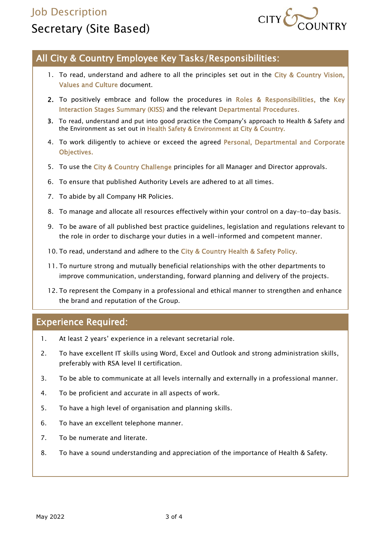## Job Description Secretary (Site Based)



#### All City & Country Employee Key Tasks/Responsibilities:

- 1. To read, understand and adhere to all the principles set out in the City & Country Vision, Values and Culture document.
- 2. To positively embrace and follow the procedures in Roles & Responsibilities, the Key Interaction Stages Summary (KISS) and the relevant Departmental Procedures.
- 3. To read, understand and put into good practice the Company's approach to Health & Safety and the Environment as set out in Health Safety & Environment at City & Country.
- 4. To work diligently to achieve or exceed the agreed Personal, Departmental and Corporate Objectives.
- 5. To use the City & Country Challenge principles for all Manager and Director approvals.
- 6. To ensure that published Authority Levels are adhered to at all times.
- 7. To abide by all Company HR Policies.
- 8. To manage and allocate all resources effectively within your control on a day-to-day basis.
- 9. To be aware of all published best practice guidelines, legislation and regulations relevant to the role in order to discharge your duties in a well-informed and competent manner.
- 10. To read, understand and adhere to the City & Country Health & Safety Policy.
- 11. To nurture strong and mutually beneficial relationships with the other departments to improve communication, understanding, forward planning and delivery of the projects.
- 12. To represent the Company in a professional and ethical manner to strengthen and enhance the brand and reputation of the Group.

#### Experience Required:

- 1. At least 2 years' experience in a relevant secretarial role.
- 2. To have excellent IT skills using Word, Excel and Outlook and strong administration skills, preferably with RSA level II certification.
- 3. To be able to communicate at all levels internally and externally in a professional manner.
- 4. To be proficient and accurate in all aspects of work.
- 5. To have a high level of organisation and planning skills.
- 6. To have an excellent telephone manner.
- 7. To be numerate and literate.
- 8. To have a sound understanding and appreciation of the importance of Health & Safety.